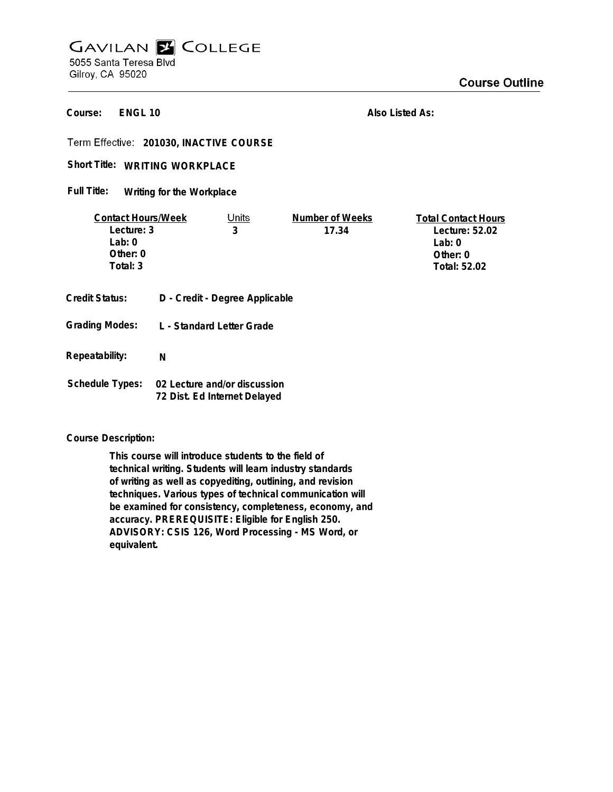# **GAVILAN E COLLEGE** 5055 Santa Teresa Blvd

Gilroy, CA 95020

**ENGL 10 Course:**

**Also Listed As:**

**201030, INACTIVE COURSE**

## Short Title: WRITING WORKPLACE

#### **Writing for the Workplace Full Title:**

| <b>Contact Hours/Week</b> |   | Units                          | Number of Weeks | <b>Total Contact Hours</b> |
|---------------------------|---|--------------------------------|-----------------|----------------------------|
| Lecture: 3                |   | 3                              | 17.34           | Lecture: 52.02             |
| Lab: $0$                  |   |                                |                 | Lab: $0$                   |
| Other: 0                  |   |                                |                 | Other: $0$                 |
| Total: 3                  |   |                                |                 | <b>Total: 52.02</b>        |
|                           |   |                                |                 |                            |
| <b>Credit Status:</b>     |   | D - Credit - Degree Applicable |                 |                            |
|                           |   |                                |                 |                            |
| <b>Grading Modes:</b>     |   | L - Standard Letter Grade      |                 |                            |
|                           |   |                                |                 |                            |
| Repeatability:            | N |                                |                 |                            |
|                           |   |                                |                 |                            |
| <b>Schedule Types:</b>    |   | 02 Lecture and/or discussion   |                 |                            |

# **72 Dist. Ed Internet Delayed**

## **Course Description:**

**This course will introduce students to the field of technical writing. Students will learn industry standards of writing as well as copyediting, outlining, and revision techniques. Various types of technical communication will be examined for consistency, completeness, economy, and accuracy. PREREQUISITE: Eligible for English 250. ADVISORY: CSIS 126, Word Processing - MS Word, or equivalent.**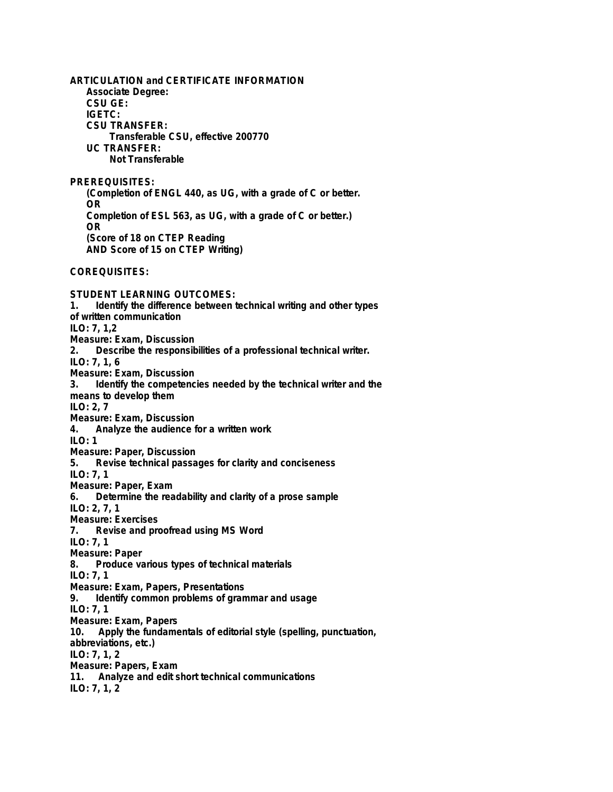**ARTICULATION and CERTIFICATE INFORMATION Associate Degree: CSU GE: IGETC: CSU TRANSFER: Transferable CSU, effective 200770 UC TRANSFER: Not Transferable PREREQUISITES: (Completion of ENGL 440, as UG, with a grade of C or better. OR Completion of ESL 563, as UG, with a grade of C or better.) OR (Score of 18 on CTEP Reading AND Score of 15 on CTEP Writing) COREQUISITES: STUDENT LEARNING OUTCOMES: 1. Identify the difference between technical writing and other types of written communication ILO: 7, 1,2 Measure: Exam, Discussion 2. Describe the responsibilities of a professional technical writer. ILO: 7, 1, 6 Measure: Exam, Discussion 3. Identify the competencies needed by the technical writer and the means to develop them ILO: 2, 7 Measure: Exam, Discussion 4. Analyze the audience for a written work ILO: 1 Measure: Paper, Discussion 5. Revise technical passages for clarity and conciseness ILO: 7, 1 Measure: Paper, Exam 6. Determine the readability and clarity of a prose sample ILO: 2, 7, 1 Measure: Exercises 7. Revise and proofread using MS Word ILO: 7, 1 Measure: Paper 8. Produce various types of technical materials ILO: 7, 1 Measure: Exam, Papers, Presentations 9. Identify common problems of grammar and usage ILO: 7, 1 Measure: Exam, Papers 10. Apply the fundamentals of editorial style (spelling, punctuation, abbreviations, etc.) ILO: 7, 1, 2 Measure: Papers, Exam 11. Analyze and edit short technical communications ILO: 7, 1, 2**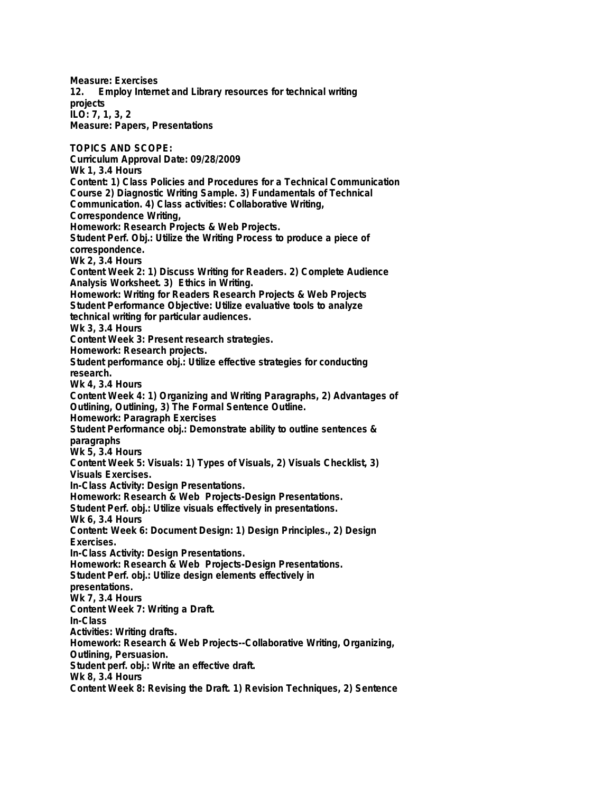**Measure: Exercises 12. Employ Internet and Library resources for technical writing projects ILO: 7, 1, 3, 2 Measure: Papers, Presentations TOPICS AND SCOPE: Curriculum Approval Date: 09/28/2009 Wk 1, 3.4 Hours Content: 1) Class Policies and Procedures for a Technical Communication Course 2) Diagnostic Writing Sample. 3) Fundamentals of Technical Communication. 4) Class activities: Collaborative Writing, Correspondence Writing, Homework: Research Projects & Web Projects. Student Perf. Obj.: Utilize the Writing Process to produce a piece of correspondence. Wk 2, 3.4 Hours Content Week 2: 1) Discuss Writing for Readers. 2) Complete Audience Analysis Worksheet. 3) Ethics in Writing. Homework: Writing for Readers Research Projects & Web Projects Student Performance Objective: Utilize evaluative tools to analyze technical writing for particular audiences. Wk 3, 3.4 Hours Content Week 3: Present research strategies. Homework: Research projects. Student performance obj.: Utilize effective strategies for conducting research. Wk 4, 3.4 Hours Content Week 4: 1) Organizing and Writing Paragraphs, 2) Advantages of Outlining, Outlining, 3) The Formal Sentence Outline. Homework: Paragraph Exercises Student Performance obj.: Demonstrate ability to outline sentences & paragraphs Wk 5, 3.4 Hours Content Week 5: Visuals: 1) Types of Visuals, 2) Visuals Checklist, 3) Visuals Exercises. In-Class Activity: Design Presentations. Homework: Research & Web Projects-Design Presentations. Student Perf. obj.: Utilize visuals effectively in presentations. Wk 6, 3.4 Hours Content: Week 6: Document Design: 1) Design Principles., 2) Design Exercises. In-Class Activity: Design Presentations. Homework: Research & Web Projects-Design Presentations. Student Perf. obj.: Utilize design elements effectively in presentations. Wk 7, 3.4 Hours Content Week 7: Writing a Draft. In-Class Activities: Writing drafts. Homework: Research & Web Projects--Collaborative Writing, Organizing, Outlining, Persuasion. Student perf. obj.: Write an effective draft. Wk 8, 3.4 Hours Content Week 8: Revising the Draft. 1) Revision Techniques, 2) Sentence**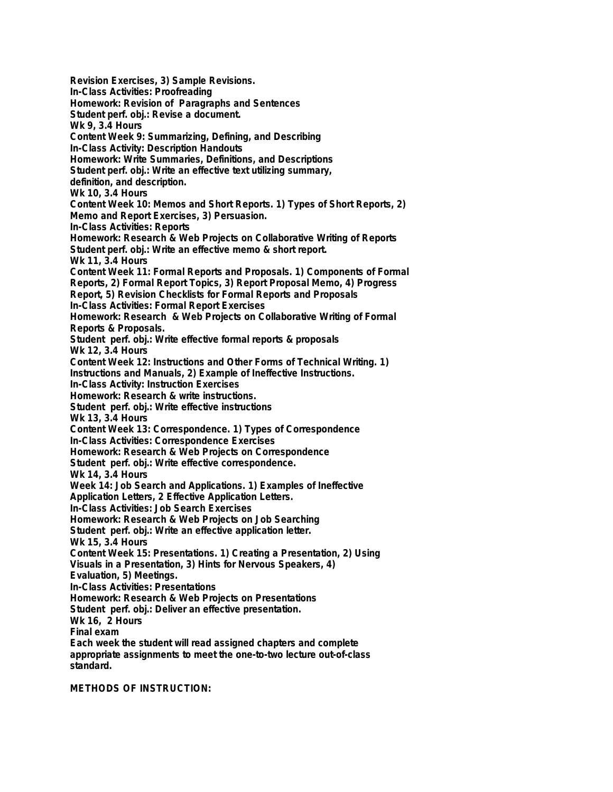**Revision Exercises, 3) Sample Revisions. In-Class Activities: Proofreading Homework: Revision of Paragraphs and Sentences Student perf. obj.: Revise a document. Wk 9, 3.4 Hours Content Week 9: Summarizing, Defining, and Describing In-Class Activity: Description Handouts Homework: Write Summaries, Definitions, and Descriptions Student perf. obj.: Write an effective text utilizing summary, definition, and description. Wk 10, 3.4 Hours Content Week 10: Memos and Short Reports. 1) Types of Short Reports, 2) Memo and Report Exercises, 3) Persuasion. In-Class Activities: Reports Homework: Research & Web Projects on Collaborative Writing of Reports Student perf. obj.: Write an effective memo & short report. Wk 11, 3.4 Hours Content Week 11: Formal Reports and Proposals. 1) Components of Formal Reports, 2) Formal Report Topics, 3) Report Proposal Memo, 4) Progress Report, 5) Revision Checklists for Formal Reports and Proposals In-Class Activities: Formal Report Exercises Homework: Research & Web Projects on Collaborative Writing of Formal Reports & Proposals. Student perf. obj.: Write effective formal reports & proposals Wk 12, 3.4 Hours Content Week 12: Instructions and Other Forms of Technical Writing. 1) Instructions and Manuals, 2) Example of Ineffective Instructions. In-Class Activity: Instruction Exercises Homework: Research & write instructions. Student perf. obj.: Write effective instructions Wk 13, 3.4 Hours Content Week 13: Correspondence. 1) Types of Correspondence In-Class Activities: Correspondence Exercises Homework: Research & Web Projects on Correspondence Student perf. obj.: Write effective correspondence. Wk 14, 3.4 Hours Week 14: Job Search and Applications. 1) Examples of Ineffective Application Letters, 2 Effective Application Letters. In-Class Activities: Job Search Exercises Homework: Research & Web Projects on Job Searching Student perf. obj.: Write an effective application letter. Wk 15, 3.4 Hours Content Week 15: Presentations. 1) Creating a Presentation, 2) Using Visuals in a Presentation, 3) Hints for Nervous Speakers, 4) Evaluation, 5) Meetings. In-Class Activities: Presentations Homework: Research & Web Projects on Presentations Student perf. obj.: Deliver an effective presentation. Wk 16, 2 Hours Final exam Each week the student will read assigned chapters and complete appropriate assignments to meet the one-to-two lecture out-of-class standard.**

**METHODS OF INSTRUCTION:**